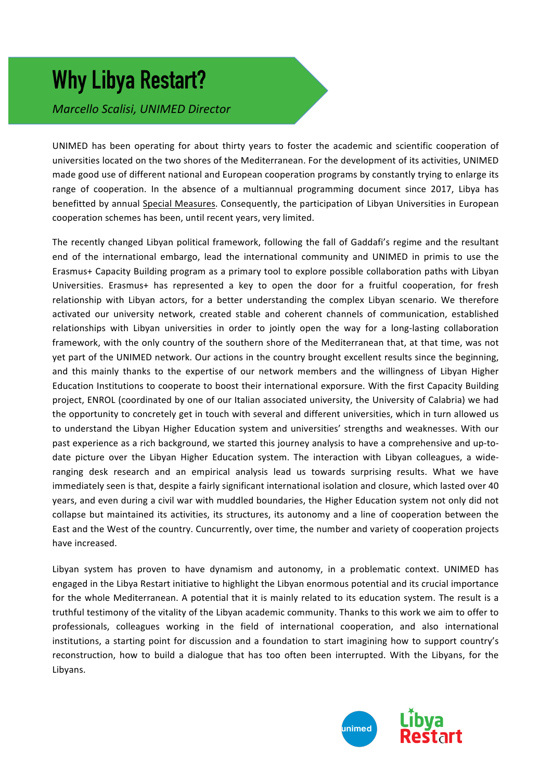# **Why Libya Restart?**

*Marcello Scalisi, UNIMED Director*

UNIMED has been operating for about thirty years to foster the academic and scientific cooperation of universities located on the two shores of the Mediterranean. For the development of its activities, UNIMED made good use of different national and European cooperation programs by constantly trying to enlarge its range of cooperation. In the absence of a multiannual programming document since 2017, Libya has benefitted by annual Special Measures. Consequently, the participation of Libyan Universities in European cooperation schemes has been, until recent years, very limited.

The recently changed Libyan political framework, following the fall of Gaddafi's regime and the resultant end of the international embargo, lead the international community and UNIMED in primis to use the Erasmus+ Capacity Building program as a primary tool to explore possible collaboration paths with Libyan Universities. Erasmus+ has represented a key to open the door for a fruitful cooperation, for fresh relationship with Libyan actors, for a better understanding the complex Libyan scenario. We therefore activated our university network, created stable and coherent channels of communication, established relationships with Libyan universities in order to jointly open the way for a long-lasting collaboration framework, with the only country of the southern shore of the Mediterranean that, at that time, was not yet part of the UNIMED network. Our actions in the country brought excellent results since the beginning, and this mainly thanks to the expertise of our network members and the willingness of Libyan Higher Education Institutions to cooperate to boost their international exporsure. With the first Capacity Building project, ENROL (coordinated by one of our Italian associated university, the University of Calabria) we had the opportunity to concretely get in touch with several and different universities, which in turn allowed us to understand the Libyan Higher Education system and universities' strengths and weaknesses. With our past experience as a rich background, we started this journey analysis to have a comprehensive and up-todate picture over the Libyan Higher Education system. The interaction with Libyan colleagues, a wideranging desk research and an empirical analysis lead us towards surprising results. What we have immediately seen is that, despite a fairly significant international isolation and closure, which lasted over 40 years, and even during a civil war with muddled boundaries, the Higher Education system not only did not collapse but maintained its activities, its structures, its autonomy and a line of cooperation between the East and the West of the country. Cuncurrently, over time, the number and variety of cooperation projects have increased.

Libyan system has proven to have dynamism and autonomy, in a problematic context. UNIMED has engaged in the Libya Restart initiative to highlight the Libyan enormous potential and its crucial importance for the whole Mediterranean. A potential that it is mainly related to its education system. The result is a truthful testimony of the vitality of the Libyan academic community. Thanks to this work we aim to offer to professionals, colleagues working in the field of international cooperation, and also international institutions, a starting point for discussion and a foundation to start imagining how to support country's reconstruction, how to build a dialogue that has too often been interrupted. With the Libyans, for the Libyans.

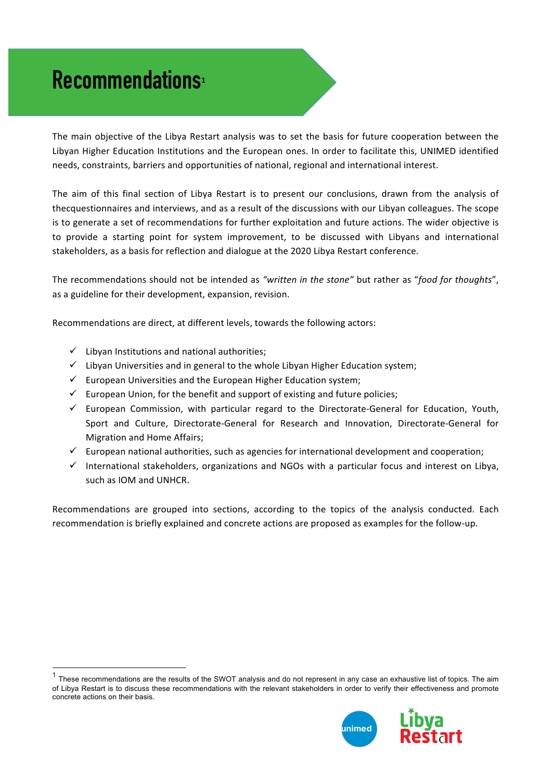## **Recommendations<sup>1</sup>**

The main objective of the Libya Restart analysis was to set the basis for future cooperation between the Libyan Higher Education Institutions and the European ones. In order to facilitate this, UNIMED identified needs, constraints, barriers and opportunities of national, regional and international interest.

The aim of this final section of Libya Restart is to present our conclusions, drawn from the analysis of thecquestionnaires and interviews, and as a result of the discussions with our Libyan colleagues. The scope is to generate a set of recommendations for further exploitation and future actions. The wider objective is to provide a starting point for system improvement, to be discussed with Libyans and international stakeholders, as a basis for reflection and dialogue at the 2020 Libya Restart conference.

The recommendations should not be intended as "written in the stone" but rather as "food for thoughts", as a guideline for their development, expansion, revision.

Recommendations are direct, at different levels, towards the following actors:

- $\checkmark$  Libyan Institutions and national authorities;
- $\checkmark$  Libyan Universities and in general to the whole Libyan Higher Education system;
- $\checkmark$  European Universities and the European Higher Education system;
- $\checkmark$  European Union, for the benefit and support of existing and future policies;
- $\checkmark$  European Commission, with particular regard to the Directorate-General for Education, Youth, Sport and Culture, Directorate-General for Research and Innovation, Directorate-General for Migration and Home Affairs;
- $\checkmark$  European national authorities, such as agencies for international development and cooperation;
- $\checkmark$  International stakeholders, organizations and NGOs with a particular focus and interest on Libya, such as IOM and UNHCR.

Recommendations are grouped into sections, according to the topics of the analysis conducted. Each recommendation is briefly explained and concrete actions are proposed as examples for the follow-up.

 $1$  These recommendations are the results of the SWOT analysis and do not represent in any case an exhaustive list of topics. The aim of Libya Restart is to discuss these recommendations with the relevant stakeholders in order to verify their effectiveness and promote concrete actions on their basis.

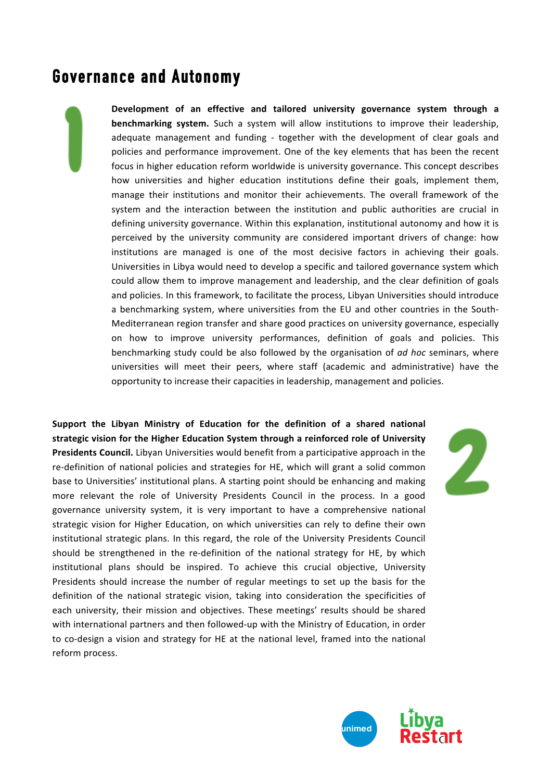#### **Governance and Autonomy**

Development of an effective and tailored university governance system through a **benchmarking system.** Such a system will allow institutions to improve their leadership, adequate management and funding - together with the development of clear goals and policies and performance improvement. One of the key elements that has been the recent focus in higher education reform worldwide is university governance. This concept describes how universities and higher education institutions define their goals, implement them, manage their institutions and monitor their achievements. The overall framework of the system and the interaction between the institution and public authorities are crucial in defining university governance. Within this explanation, institutional autonomy and how it is perceived by the university community are considered important drivers of change: how institutions are managed is one of the most decisive factors in achieving their goals. Universities in Libya would need to develop a specific and tailored governance system which could allow them to improve management and leadership, and the clear definition of goals and policies. In this framework, to facilitate the process, Libyan Universities should introduce a benchmarking system, where universities from the EU and other countries in the South-Mediterranean region transfer and share good practices on university governance, especially on how to improve university performances, definition of goals and policies. This benchmarking study could be also followed by the organisation of *ad hoc* seminars, where universities will meet their peers, where staff (academic and administrative) have the opportunity to increase their capacities in leadership, management and policies.

Support the Libyan Ministry of Education for the definition of a shared national strategic vision for the Higher Education System through a reinforced role of University **Presidents Council.** Libyan Universities would benefit from a participative approach in the re-definition of national policies and strategies for HE, which will grant a solid common base to Universities' institutional plans. A starting point should be enhancing and making more relevant the role of University Presidents Council in the process. In a good governance university system, it is very important to have a comprehensive national strategic vision for Higher Education, on which universities can rely to define their own institutional strategic plans. In this regard, the role of the University Presidents Council should be strengthened in the re-definition of the national strategy for HE, by which institutional plans should be inspired. To achieve this crucial objective, University Presidents should increase the number of regular meetings to set up the basis for the definition of the national strategic vision, taking into consideration the specificities of each university, their mission and objectives. These meetings' results should be shared with international partners and then followed-up with the Ministry of Education, in order to co-design a vision and strategy for HE at the national level, framed into the national reform process. 



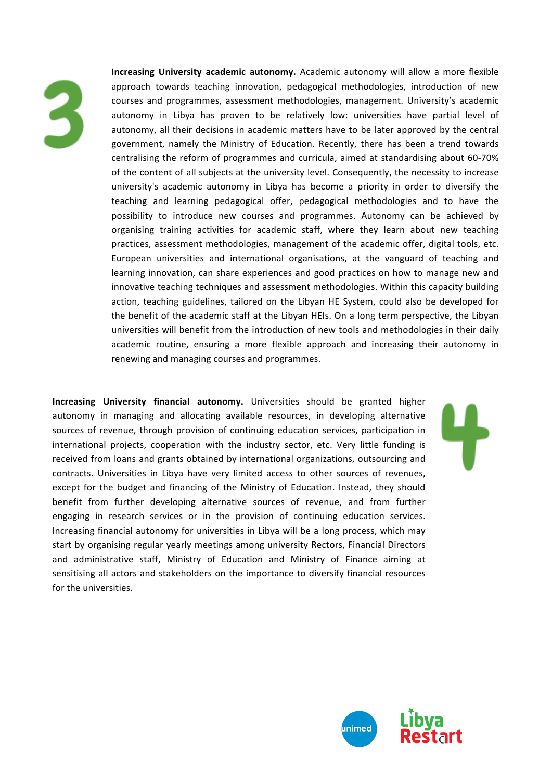

**Increasing University academic autonomy.** Academic autonomy will allow a more flexible approach towards teaching innovation, pedagogical methodologies, introduction of new courses and programmes, assessment methodologies, management. University's academic autonomy in Libya has proven to be relatively low: universities have partial level of autonomy, all their decisions in academic matters have to be later approved by the central government, namely the Ministry of Education. Recently, there has been a trend towards centralising the reform of programmes and curricula, aimed at standardising about 60-70% of the content of all subjects at the university level. Consequently, the necessity to increase university's academic autonomy in Libya has become a priority in order to diversify the teaching and learning pedagogical offer, pedagogical methodologies and to have the possibility to introduce new courses and programmes. Autonomy can be achieved by organising training activities for academic staff, where they learn about new teaching practices, assessment methodologies, management of the academic offer, digital tools, etc. European universities and international organisations, at the vanguard of teaching and learning innovation, can share experiences and good practices on how to manage new and innovative teaching techniques and assessment methodologies. Within this capacity building action, teaching guidelines, tailored on the Libyan HE System, could also be developed for the benefit of the academic staff at the Libyan HEIs. On a long term perspective, the Libyan universities will benefit from the introduction of new tools and methodologies in their daily academic routine, ensuring a more flexible approach and increasing their autonomy in renewing and managing courses and programmes.

**Increasing University financial autonomy.** Universities should be granted higher autonomy in managing and allocating available resources, in developing alternative sources of revenue, through provision of continuing education services, participation in international projects, cooperation with the industry sector, etc. Very little funding is received from loans and grants obtained by international organizations, outsourcing and contracts. Universities in Libya have very limited access to other sources of revenues. except for the budget and financing of the Ministry of Education. Instead, they should benefit from further developing alternative sources of revenue, and from further engaging in research services or in the provision of continuing education services. Increasing financial autonomy for universities in Libya will be a long process, which may start by organising regular yearly meetings among university Rectors, Financial Directors and administrative staff, Ministry of Education and Ministry of Finance aiming at sensitising all actors and stakeholders on the importance to diversify financial resources for the universities.



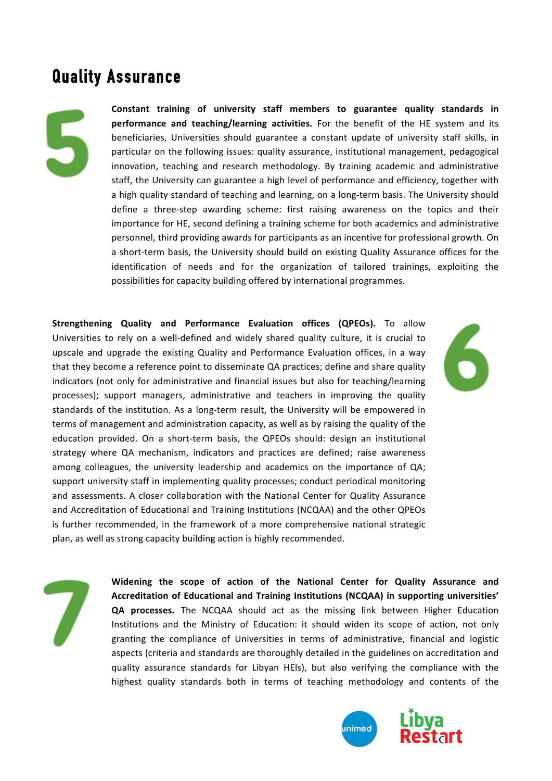#### **Quality Assurance**

Constant training of university staff members to guarantee quality standards in **performance and teaching/learning activities.** For the benefit of the HE system and its beneficiaries, Universities should guarantee a constant update of university staff skills, in particular on the following issues: quality assurance, institutional management, pedagogical innovation, teaching and research methodology. By training academic and administrative staff, the University can guarantee a high level of performance and efficiency, together with a high quality standard of teaching and learning, on a long-term basis. The University should define a three-step awarding scheme: first raising awareness on the topics and their importance for HE, second defining a training scheme for both academics and administrative personnel, third providing awards for participants as an incentive for professional growth. On a short-term basis, the University should build on existing Quality Assurance offices for the identification of needs and for the organization of tailored trainings, exploiting the possibilities for capacity building offered by international programmes.

**Strengthening Quality and Performance Evaluation offices (QPEOs).** To allow Universities to rely on a well-defined and widely shared quality culture, it is crucial to upscale and upgrade the existing Quality and Performance Evaluation offices, in a way that they become a reference point to disseminate QA practices; define and share quality indicators (not only for administrative and financial issues but also for teaching/learning processes); support managers, administrative and teachers in improving the quality standards of the institution. As a long-term result, the University will be empowered in terms of management and administration capacity, as well as by raising the quality of the education provided. On a short-term basis, the QPEOs should: design an institutional strategy where QA mechanism, indicators and practices are defined; raise awareness among colleagues, the university leadership and academics on the importance of QA; support university staff in implementing quality processes; conduct periodical monitoring and assessments. A closer collaboration with the National Center for Quality Assurance and Accreditation of Educational and Training Institutions (NCQAA) and the other QPEOs is further recommended, in the framework of a more comprehensive national strategic plan, as well as strong capacity building action is highly recommended.

Widening the scope of action of the National Center for Quality Assurance and Accreditation of Educational and Training Institutions (NCQAA) in supporting universities' QA processes. The NCQAA should act as the missing link between Higher Education Institutions and the Ministry of Education: it should widen its scope of action, not only granting the compliance of Universities in terms of administrative, financial and logistic aspects (criteria and standards are thoroughly detailed in the guidelines on accreditation and quality assurance standards for Libyan HEIs), but also verifying the compliance with the highest quality standards both in terms of teaching methodology and contents of the

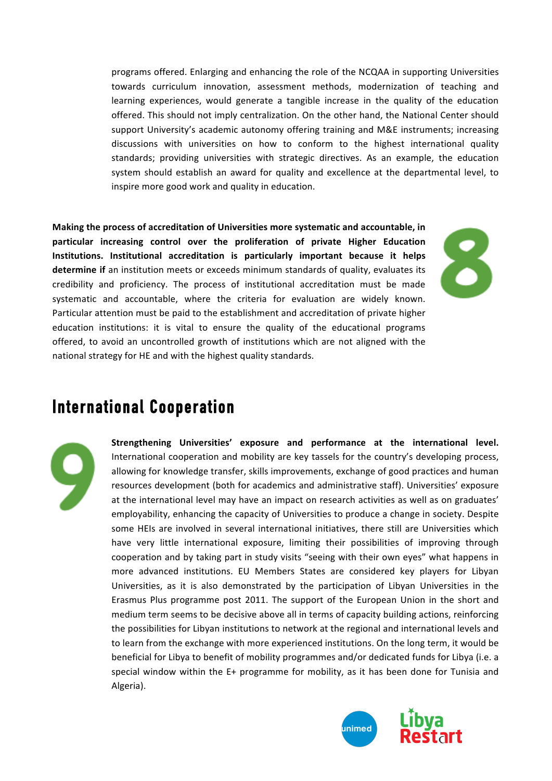programs offered. Enlarging and enhancing the role of the NCQAA in supporting Universities towards curriculum innovation, assessment methods, modernization of teaching and learning experiences, would generate a tangible increase in the quality of the education offered. This should not imply centralization. On the other hand, the National Center should support University's academic autonomy offering training and M&E instruments; increasing discussions with universities on how to conform to the highest international quality standards; providing universities with strategic directives. As an example, the education system should establish an award for quality and excellence at the departmental level, to inspire more good work and quality in education.

Making the process of accreditation of Universities more systematic and accountable, in particular increasing control over the proliferation of private Higher Education **Institutions.** Institutional accreditation is particularly important because it helps **determine if** an institution meets or exceeds minimum standards of quality, evaluates its credibility and proficiency. The process of institutional accreditation must be made systematic and accountable, where the criteria for evaluation are widely known. Particular attention must be paid to the establishment and accreditation of private higher education institutions: it is vital to ensure the quality of the educational programs offered, to avoid an uncontrolled growth of institutions which are not aligned with the national strategy for HE and with the highest quality standards.

### **International Cooperation**

Strengthening Universities' exposure and performance at the international level. International cooperation and mobility are key tassels for the country's developing process, allowing for knowledge transfer, skills improvements, exchange of good practices and human resources development (both for academics and administrative staff). Universities' exposure at the international level may have an impact on research activities as well as on graduates' employability, enhancing the capacity of Universities to produce a change in society. Despite some HEIs are involved in several international initiatives, there still are Universities which have very little international exposure, limiting their possibilities of improving through cooperation and by taking part in study visits "seeing with their own eyes" what happens in more advanced institutions. EU Members States are considered key players for Libyan Universities, as it is also demonstrated by the participation of Libyan Universities in the Erasmus Plus programme post 2011. The support of the European Union in the short and medium term seems to be decisive above all in terms of capacity building actions, reinforcing the possibilities for Libyan institutions to network at the regional and international levels and to learn from the exchange with more experienced institutions. On the long term, it would be beneficial for Libya to benefit of mobility programmes and/or dedicated funds for Libya (i.e. a special window within the  $E+$  programme for mobility, as it has been done for Tunisia and Algeria).

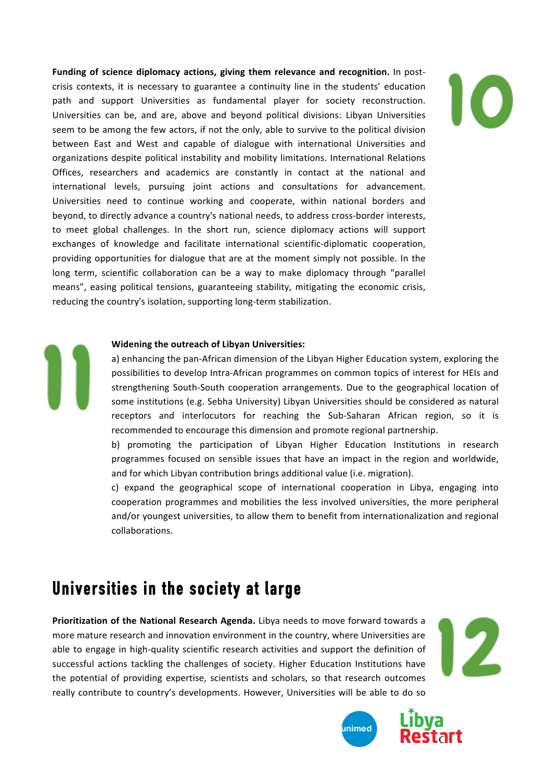**Funding of science diplomacy actions, giving them relevance and recognition.** In postcrisis contexts, it is necessary to guarantee a continuity line in the students' education path and support Universities as fundamental player for society reconstruction. Universities can be, and are, above and beyond political divisions: Libyan Universities seem to be among the few actors, if not the only, able to survive to the political division between East and West and capable of dialogue with international Universities and organizations despite political instability and mobility limitations. International Relations Offices, researchers and academics are constantly in contact at the national and international levels, pursuing joint actions and consultations for advancement. Universities need to continue working and cooperate, within national borders and beyond, to directly advance a country's national needs, to address cross-border interests, to meet global challenges. In the short run, science diplomacy actions will support exchanges of knowledge and facilitate international scientific-diplomatic cooperation, providing opportunities for dialogue that are at the moment simply not possible. In the long term, scientific collaboration can be a way to make diplomacy through "parallel means", easing political tensions, guaranteeing stability, mitigating the economic crisis, reducing the country's isolation, supporting long-term stabilization.

#### **Widening the outreach of Libyan Universities:**

a) enhancing the pan-African dimension of the Libyan Higher Education system, exploring the possibilities to develop Intra-African programmes on common topics of interest for HEIs and strengthening South-South cooperation arrangements. Due to the geographical location of some institutions (e.g. Sebha University) Libyan Universities should be considered as natural receptors and interlocutors for reaching the Sub-Saharan African region, so it is recommended to encourage this dimension and promote regional partnership.

b) promoting the participation of Libyan Higher Education Institutions in research programmes focused on sensible issues that have an impact in the region and worldwide, and for which Libyan contribution brings additional value (i.e. migration).

c) expand the geographical scope of international cooperation in Libya, engaging into cooperation programmes and mobilities the less involved universities, the more peripheral and/or youngest universities, to allow them to benefit from internationalization and regional collaborations. 

#### **Universities in the society at large**

**Prioritization of the National Research Agenda.** Libya needs to move forward towards a more mature research and innovation environment in the country, where Universities are able to engage in high-quality scientific research activities and support the definition of successful actions tackling the challenges of society. Higher Education Institutions have the potential of providing expertise, scientists and scholars, so that research outcomes really contribute to country's developments. However, Universities will be able to do so